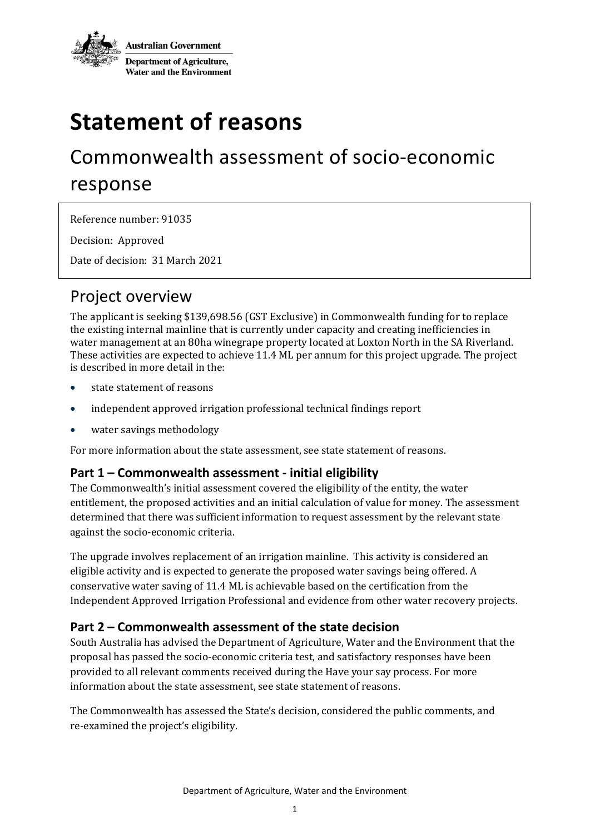

# **Statement of reasons**

## Commonwealth assessment of socio-economic response

Reference number: 91035

Decision: Approved

Date of decision: 31 March 2021

## Project overview

The applicant is seeking \$139,698.56 (GST Exclusive) in Commonwealth funding for to replace the existing internal mainline that is currently under capacity and creating inefficiencies in water management at an 80ha winegrape property located at Loxton North in the SA Riverland. These activities are expected to achieve 11.4 ML per annum for this project upgrade. The project is described in more detail in the:

- state statement of reasons
- independent approved irrigation professional technical findings report
- water savings methodology

For more information about the state assessment, see state statement of reasons.

#### **Part 1 – Commonwealth assessment - initial eligibility**

The Commonwealth's initial assessment covered the eligibility of the entity, the water entitlement, the proposed activities and an initial calculation of value for money. The assessment determined that there was sufficient information to request assessment by the relevant state against the socio-economic criteria.

The upgrade involves replacement of an irrigation mainline. This activity is considered an eligible activity and is expected to generate the proposed water savings being offered. A conservative water saving of 11.4 ML is achievable based on the certification from the Independent Approved Irrigation Professional and evidence from other water recovery projects.

#### **Part 2 – Commonwealth assessment of the state decision**

South Australia has advised the Department of Agriculture, Water and the Environment that the proposal has passed the socio-economic criteria test, and satisfactory responses have been provided to all relevant comments received during the Have your say process. For more information about the state assessment, see state statement of reasons.

The Commonwealth has assessed the State's decision, considered the public comments, and re-examined the project's eligibility.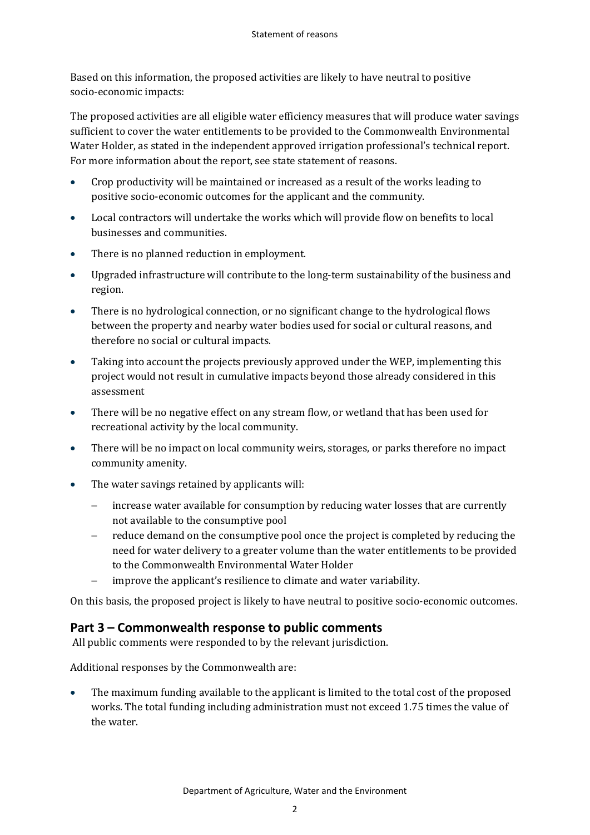Based on this information, the proposed activities are likely to have neutral to positive socio-economic impacts:

The proposed activities are all eligible water efficiency measures that will produce water savings sufficient to cover the water entitlements to be provided to the Commonwealth Environmental Water Holder, as stated in the independent approved irrigation professional's technical report. For more information about the report, see state statement of reasons.

- Crop productivity will be maintained or increased as a result of the works leading to positive socio-economic outcomes for the applicant and the community.
- Local contractors will undertake the works which will provide flow on benefits to local businesses and communities.
- There is no planned reduction in employment.
- Upgraded infrastructure will contribute to the long-term sustainability of the business and region.
- There is no hydrological connection, or no significant change to the hydrological flows between the property and nearby water bodies used for social or cultural reasons, and therefore no social or cultural impacts.
- Taking into account the projects previously approved under the WEP, implementing this project would not result in cumulative impacts beyond those already considered in this assessment
- There will be no negative effect on any stream flow, or wetland that has been used for recreational activity by the local community.
- There will be no impact on local community weirs, storages, or parks therefore no impact community amenity.
- The water savings retained by applicants will:
	- increase water available for consumption by reducing water losses that are currently not available to the consumptive pool
	- reduce demand on the consumptive pool once the project is completed by reducing the need for water delivery to a greater volume than the water entitlements to be provided to the Commonwealth Environmental Water Holder
	- improve the applicant's resilience to climate and water variability.

On this basis, the proposed project is likely to have neutral to positive socio-economic outcomes.

#### **Part 3 – Commonwealth response to public comments**

All public comments were responded to by the relevant jurisdiction.

Additional responses by the Commonwealth are:

 The maximum funding available to the applicant is limited to the total cost of the proposed works. The total funding including administration must not exceed 1.75 times the value of the water.